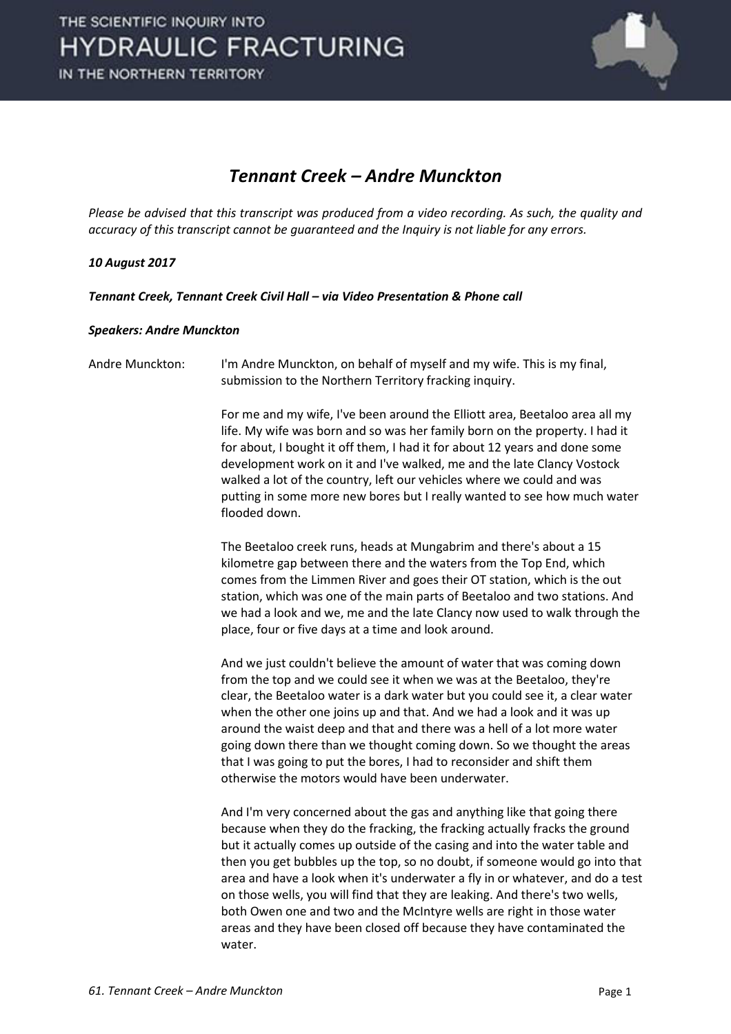

#### *Tennant Creek – Andre Munckton*

*Please be advised that this transcript was produced from a video recording. As such, the quality and accuracy of this transcript cannot be guaranteed and the Inquiry is not liable for any errors.* 

#### *10 August 2017*

*Tennant Creek, Tennant Creek Civil Hall – via Video Presentation & Phone call* 

#### *Speakers: Andre Munckton*

```
Andre Munckton: I'm Andre Munckton, on behalf of myself and my wife. This is my final, 
           submission to the Northern Territory fracking inquiry.
```
 For me and my wife, I've been around the Elliott area, Beetaloo area all my life. My wife was born and so was her family born on the property. I had it for about, I bought it off them, I had it for about 12 years and done some development work on it and I've walked, me and the late Clancy Vostock walked a lot of the country, left our vehicles where we could and was putting in some more new bores but I really wanted to see how much water flooded down.

 The Beetaloo creek runs, heads at Mungabrim and there's about a 15 kilometre gap between there and the waters from the Top End, which comes from the Limmen River and goes their OT station, which is the out station, which was one of the main parts of Beetaloo and two stations. And we had a look and we, me and the late Clancy now used to walk through the place, four or five days at a time and look around.

 And we just couldn't believe the amount of water that was coming down from the top and we could see it when we was at the Beetaloo, they're clear, the Beetaloo water is a dark water but you could see it, a clear water when the other one joins up and that. And we had a look and it was up around the waist deep and that and there was a hell of a lot more water going down there than we thought coming down. So we thought the areas that I was going to put the bores, I had to reconsider and shift them otherwise the motors would have been underwater.

 And I'm very concerned about the gas and anything like that going there because when they do the fracking, the fracking actually fracks the ground but it actually comes up outside of the casing and into the water table and then you get bubbles up the top, so no doubt, if someone would go into that area and have a look when it's underwater a fly in or whatever, and do a test on those wells, you will find that they are leaking. And there's two wells, both Owen one and two and the McIntyre wells are right in those water areas and they have been closed off because they have contaminated the water.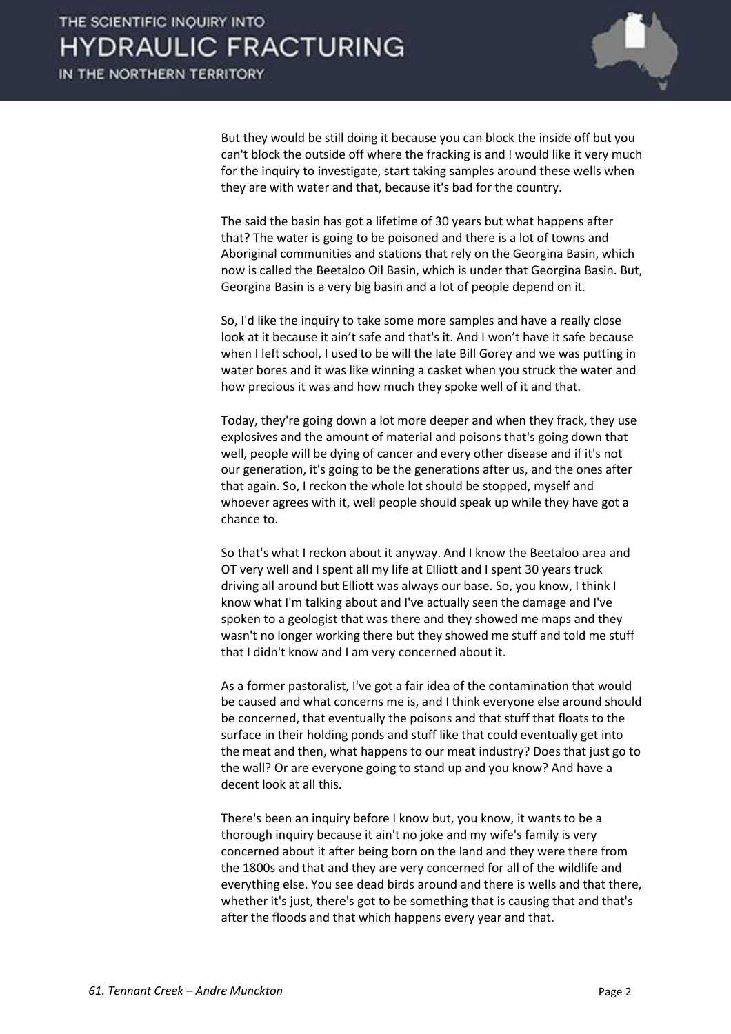

 But they would be still doing it because you can block the inside off but you can't block the outside off where the fracking is and I would like it very much for the inquiry to investigate, start taking samples around these wells when they are with water and that, because it's bad for the country.

 The said the basin has got a lifetime of 30 years but what happens after that? The water is going to be poisoned and there is a lot of towns and Aboriginal communities and stations that rely on the Georgina Basin, which now is called the Beetaloo Oil Basin, which is under that Georgina Basin. But, Georgina Basin is a very big basin and a lot of people depend on it.

 So, I'd like the inquiry to take some more samples and have a really close look at it because it ain't safe and that's it. And I won't have it safe because when I left school, I used to be will the late Bill Gorey and we was putting in water bores and it was like winning a casket when you struck the water and how precious it was and how much they spoke well of it and that.

 Today, they're going down a lot more deeper and when they frack, they use explosives and the amount of material and poisons that's going down that well, people will be dying of cancer and every other disease and if it's not our generation, it's going to be the generations after us, and the ones after that again. So, I reckon the whole lot should be stopped, myself and whoever agrees with it, well people should speak up while they have got a chance to.

 So that's what I reckon about it anyway. And I know the Beetaloo area and OT very well and I spent all my life at Elliott and I spent 30 years truck driving all around but Elliott was always our base. So, you know, I think I know what I'm talking about and I've actually seen the damage and I've spoken to a geologist that was there and they showed me maps and they wasn't no longer working there but they showed me stuff and told me stuff that I didn't know and I am very concerned about it.

 As a former pastoralist, I've got a fair idea of the contamination that would be caused and what concerns me is, and I think everyone else around should be concerned, that eventually the poisons and that stuff that floats to the surface in their holding ponds and stuff like that could eventually get into the meat and then, what happens to our meat industry? Does that just go to the wall? Or are everyone going to stand up and you know? And have a decent look at all this.

 There's been an inquiry before I know but, you know, it wants to be a thorough inquiry because it ain't no joke and my wife's family is very concerned about it after being born on the land and they were there from the 1800s and that and they are very concerned for all of the wildlife and everything else. You see dead birds around and there is wells and that there, whether it's just, there's got to be something that is causing that and that's after the floods and that which happens every year and that.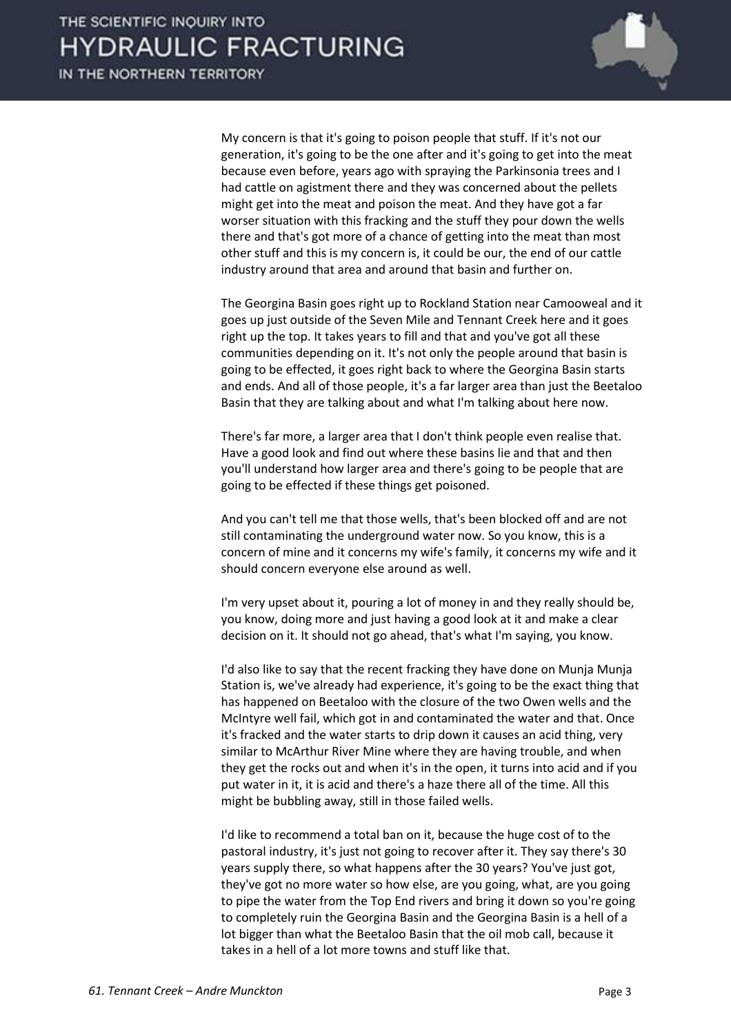

 My concern is that it's going to poison people that stuff. If it's not our generation, it's going to be the one after and it's going to get into the meat because even before, years ago with spraying the Parkinsonia trees and I had cattle on agistment there and they was concerned about the pellets might get into the meat and poison the meat. And they have got a far worser situation with this fracking and the stuff they pour down the wells there and that's got more of a chance of getting into the meat than most other stuff and this is my concern is, it could be our, the end of our cattle industry around that area and around that basin and further on.

 The Georgina Basin goes right up to Rockland Station near Camooweal and it goes up just outside of the Seven Mile and Tennant Creek here and it goes right up the top. It takes years to fill and that and you've got all these communities depending on it. It's not only the people around that basin is going to be effected, it goes right back to where the Georgina Basin starts and ends. And all of those people, it's a far larger area than just the Beetaloo Basin that they are talking about and what I'm talking about here now.

 There's far more, a larger area that I don't think people even realise that. Have a good look and find out where these basins lie and that and then you'll understand how larger area and there's going to be people that are going to be effected if these things get poisoned.

 And you can't tell me that those wells, that's been blocked off and are not still contaminating the underground water now. So you know, this is a concern of mine and it concerns my wife's family, it concerns my wife and it should concern everyone else around as well.

 I'm very upset about it, pouring a lot of money in and they really should be, you know, doing more and just having a good look at it and make a clear decision on it. It should not go ahead, that's what I'm saying, you know.

 I'd also like to say that the recent fracking they have done on Munja Munja Station is, we've already had experience, it's going to be the exact thing that has happened on Beetaloo with the closure of the two Owen wells and the McIntyre well fail, which got in and contaminated the water and that. Once it's fracked and the water starts to drip down it causes an acid thing, very similar to McArthur River Mine where they are having trouble, and when they get the rocks out and when it's in the open, it turns into acid and if you put water in it, it is acid and there's a haze there all of the time. All this might be bubbling away, still in those failed wells.

 I'd like to recommend a total ban on it, because the huge cost of to the pastoral industry, it's just not going to recover after it. They say there's 30 years supply there, so what happens after the 30 years? You've just got, they've got no more water so how else, are you going, what, are you going to pipe the water from the Top End rivers and bring it down so you're going to completely ruin the Georgina Basin and the Georgina Basin is a hell of a lot bigger than what the Beetaloo Basin that the oil mob call, because it takes in a hell of a lot more towns and stuff like that.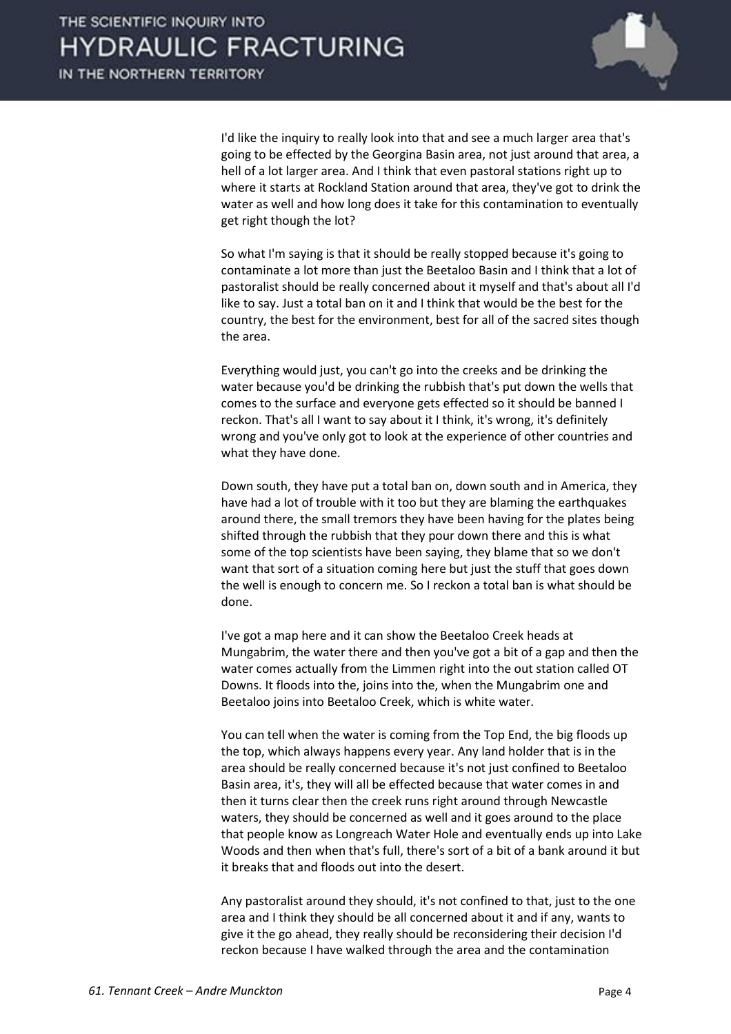

 I'd like the inquiry to really look into that and see a much larger area that's going to be effected by the Georgina Basin area, not just around that area, a hell of a lot larger area. And I think that even pastoral stations right up to where it starts at Rockland Station around that area, they've got to drink the water as well and how long does it take for this contamination to eventually get right though the lot?

 So what I'm saying is that it should be really stopped because it's going to contaminate a lot more than just the Beetaloo Basin and I think that a lot of pastoralist should be really concerned about it myself and that's about all I'd like to say. Just a total ban on it and I think that would be the best for the country, the best for the environment, best for all of the sacred sites though the area.

 Everything would just, you can't go into the creeks and be drinking the water because you'd be drinking the rubbish that's put down the wells that comes to the surface and everyone gets effected so it should be banned I reckon. That's all I want to say about it I think, it's wrong, it's definitely wrong and you've only got to look at the experience of other countries and what they have done.

 Down south, they have put a total ban on, down south and in America, they have had a lot of trouble with it too but they are blaming the earthquakes around there, the small tremors they have been having for the plates being shifted through the rubbish that they pour down there and this is what some of the top scientists have been saying, they blame that so we don't want that sort of a situation coming here but just the stuff that goes down the well is enough to concern me. So I reckon a total ban is what should be done.

 I've got a map here and it can show the Beetaloo Creek heads at Mungabrim, the water there and then you've got a bit of a gap and then the water comes actually from the Limmen right into the out station called OT Downs. It floods into the, joins into the, when the Mungabrim one and Beetaloo joins into Beetaloo Creek, which is white water.

 You can tell when the water is coming from the Top End, the big floods up the top, which always happens every year. Any land holder that is in the area should be really concerned because it's not just confined to Beetaloo Basin area, it's, they will all be effected because that water comes in and then it turns clear then the creek runs right around through Newcastle waters, they should be concerned as well and it goes around to the place that people know as Longreach Water Hole and eventually ends up into Lake Woods and then when that's full, there's sort of a bit of a bank around it but it breaks that and floods out into the desert.

 Any pastoralist around they should, it's not confined to that, just to the one area and I think they should be all concerned about it and if any, wants to give it the go ahead, they really should be reconsidering their decision I'd reckon because I have walked through the area and the contamination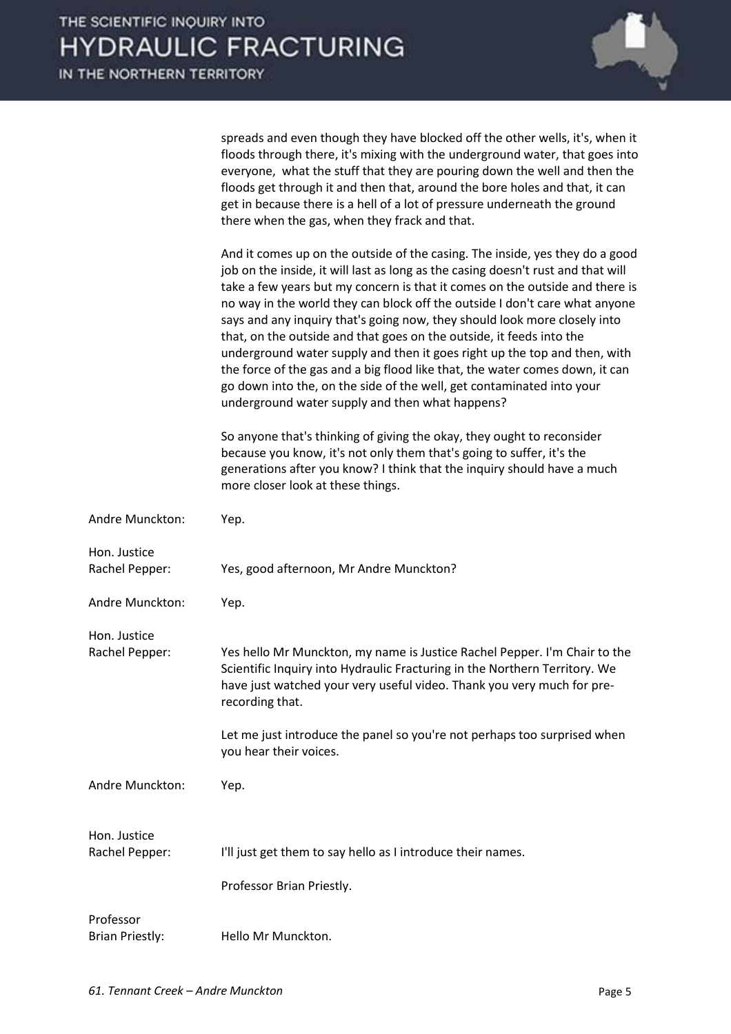

spreads and even though they have blocked off the other wells, it's, when it floods through there, it's mixing with the underground water, that goes into everyone, what the stuff that they are pouring down the well and then the floods get through it and then that, around the bore holes and that, it can get in because there is a hell of a lot of pressure underneath the ground there when the gas, when they frack and that.

 And it comes up on the outside of the casing. The inside, yes they do a good job on the inside, it will last as long as the casing doesn't rust and that will take a few years but my concern is that it comes on the outside and there is no way in the world they can block off the outside I don't care what anyone says and any inquiry that's going now, they should look more closely into that, on the outside and that goes on the outside, it feeds into the underground water supply and then it goes right up the top and then, with the force of the gas and a big flood like that, the water comes down, it can go down into the, on the side of the well, get contaminated into your underground water supply and then what happens?

 So anyone that's thinking of giving the okay, they ought to reconsider because you know, it's not only them that's going to suffer, it's the generations after you know? I think that the inquiry should have a much more closer look at these things.

| Andre Munckton:                     | Yep.                                                                                                                                                                                                                                                 |
|-------------------------------------|------------------------------------------------------------------------------------------------------------------------------------------------------------------------------------------------------------------------------------------------------|
| Hon. Justice<br>Rachel Pepper:      | Yes, good afternoon, Mr Andre Munckton?                                                                                                                                                                                                              |
| Andre Munckton:                     | Yep.                                                                                                                                                                                                                                                 |
| Hon. Justice                        |                                                                                                                                                                                                                                                      |
| Rachel Pepper:                      | Yes hello Mr Munckton, my name is Justice Rachel Pepper. I'm Chair to the<br>Scientific Inquiry into Hydraulic Fracturing in the Northern Territory. We<br>have just watched your very useful video. Thank you very much for pre-<br>recording that. |
|                                     | Let me just introduce the panel so you're not perhaps too surprised when<br>you hear their voices.                                                                                                                                                   |
| Andre Munckton:                     | Yep.                                                                                                                                                                                                                                                 |
| Hon. Justice                        |                                                                                                                                                                                                                                                      |
| Rachel Pepper:                      | I'll just get them to say hello as I introduce their names.                                                                                                                                                                                          |
|                                     | Professor Brian Priestly.                                                                                                                                                                                                                            |
| Professor<br><b>Brian Priestly:</b> | Hello Mr Munckton.                                                                                                                                                                                                                                   |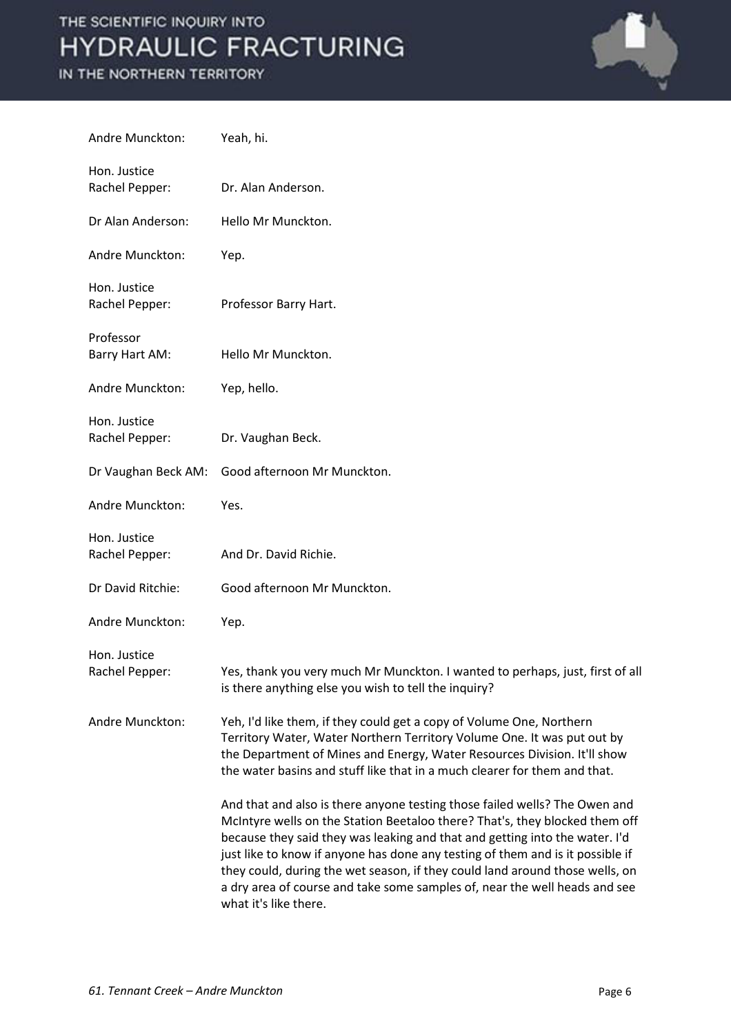

| Andre Munckton:                | Yeah, hi.                                                                                                                                                                                                                                                                                                                                                                                                                                                                                                         |
|--------------------------------|-------------------------------------------------------------------------------------------------------------------------------------------------------------------------------------------------------------------------------------------------------------------------------------------------------------------------------------------------------------------------------------------------------------------------------------------------------------------------------------------------------------------|
| Hon. Justice<br>Rachel Pepper: | Dr. Alan Anderson.                                                                                                                                                                                                                                                                                                                                                                                                                                                                                                |
| Dr Alan Anderson:              | Hello Mr Munckton.                                                                                                                                                                                                                                                                                                                                                                                                                                                                                                |
| Andre Munckton:                | Yep.                                                                                                                                                                                                                                                                                                                                                                                                                                                                                                              |
| Hon. Justice<br>Rachel Pepper: | Professor Barry Hart.                                                                                                                                                                                                                                                                                                                                                                                                                                                                                             |
| Professor<br>Barry Hart AM:    | Hello Mr Munckton.                                                                                                                                                                                                                                                                                                                                                                                                                                                                                                |
| Andre Munckton:                | Yep, hello.                                                                                                                                                                                                                                                                                                                                                                                                                                                                                                       |
| Hon. Justice<br>Rachel Pepper: | Dr. Vaughan Beck.                                                                                                                                                                                                                                                                                                                                                                                                                                                                                                 |
| Dr Vaughan Beck AM:            | Good afternoon Mr Munckton.                                                                                                                                                                                                                                                                                                                                                                                                                                                                                       |
| Andre Munckton:                | Yes.                                                                                                                                                                                                                                                                                                                                                                                                                                                                                                              |
| Hon. Justice<br>Rachel Pepper: | And Dr. David Richie.                                                                                                                                                                                                                                                                                                                                                                                                                                                                                             |
| Dr David Ritchie:              | Good afternoon Mr Munckton.                                                                                                                                                                                                                                                                                                                                                                                                                                                                                       |
| Andre Munckton:                | Yep.                                                                                                                                                                                                                                                                                                                                                                                                                                                                                                              |
| Hon. Justice<br>Rachel Pepper: | Yes, thank you very much Mr Munckton. I wanted to perhaps, just, first of all<br>is there anything else you wish to tell the inquiry?                                                                                                                                                                                                                                                                                                                                                                             |
| Andre Munckton:                | Yeh, I'd like them, if they could get a copy of Volume One, Northern<br>Territory Water, Water Northern Territory Volume One. It was put out by<br>the Department of Mines and Energy, Water Resources Division. It'll show<br>the water basins and stuff like that in a much clearer for them and that.                                                                                                                                                                                                          |
|                                | And that and also is there anyone testing those failed wells? The Owen and<br>McIntyre wells on the Station Beetaloo there? That's, they blocked them off<br>because they said they was leaking and that and getting into the water. I'd<br>just like to know if anyone has done any testing of them and is it possible if<br>they could, during the wet season, if they could land around those wells, on<br>a dry area of course and take some samples of, near the well heads and see<br>what it's like there. |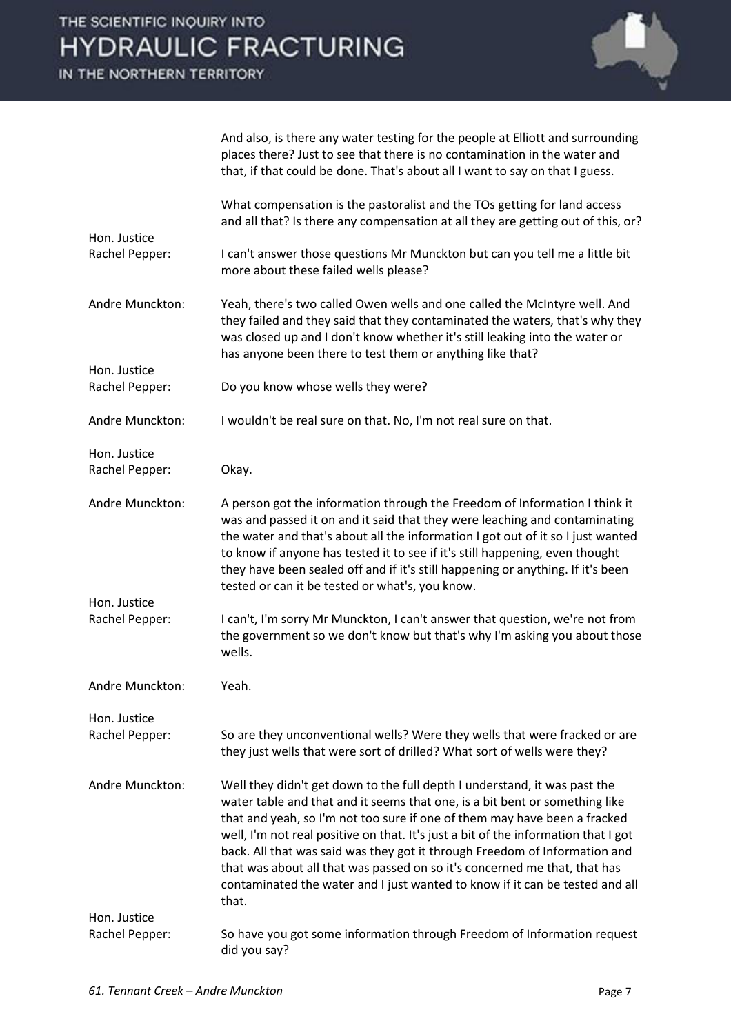

|                                | And also, is there any water testing for the people at Elliott and surrounding<br>places there? Just to see that there is no contamination in the water and<br>that, if that could be done. That's about all I want to say on that I guess.                                                                                                                                                                                                                                                                                                                                     |
|--------------------------------|---------------------------------------------------------------------------------------------------------------------------------------------------------------------------------------------------------------------------------------------------------------------------------------------------------------------------------------------------------------------------------------------------------------------------------------------------------------------------------------------------------------------------------------------------------------------------------|
|                                | What compensation is the pastoralist and the TOs getting for land access<br>and all that? Is there any compensation at all they are getting out of this, or?                                                                                                                                                                                                                                                                                                                                                                                                                    |
| Hon. Justice<br>Rachel Pepper: | I can't answer those questions Mr Munckton but can you tell me a little bit<br>more about these failed wells please?                                                                                                                                                                                                                                                                                                                                                                                                                                                            |
| Andre Munckton:                | Yeah, there's two called Owen wells and one called the McIntyre well. And<br>they failed and they said that they contaminated the waters, that's why they<br>was closed up and I don't know whether it's still leaking into the water or<br>has anyone been there to test them or anything like that?                                                                                                                                                                                                                                                                           |
| Hon. Justice<br>Rachel Pepper: | Do you know whose wells they were?                                                                                                                                                                                                                                                                                                                                                                                                                                                                                                                                              |
| Andre Munckton:                | I wouldn't be real sure on that. No, I'm not real sure on that.                                                                                                                                                                                                                                                                                                                                                                                                                                                                                                                 |
| Hon. Justice<br>Rachel Pepper: | Okay.                                                                                                                                                                                                                                                                                                                                                                                                                                                                                                                                                                           |
| Andre Munckton:                | A person got the information through the Freedom of Information I think it<br>was and passed it on and it said that they were leaching and contaminating<br>the water and that's about all the information I got out of it so I just wanted<br>to know if anyone has tested it to see if it's still happening, even thought<br>they have been sealed off and if it's still happening or anything. If it's been<br>tested or can it be tested or what's, you know.                                                                                                               |
| Hon. Justice<br>Rachel Pepper: | I can't, I'm sorry Mr Munckton, I can't answer that question, we're not from<br>the government so we don't know but that's why I'm asking you about those<br>wells.                                                                                                                                                                                                                                                                                                                                                                                                             |
| Andre Munckton:                | Yeah.                                                                                                                                                                                                                                                                                                                                                                                                                                                                                                                                                                           |
| Hon. Justice<br>Rachel Pepper: | So are they unconventional wells? Were they wells that were fracked or are<br>they just wells that were sort of drilled? What sort of wells were they?                                                                                                                                                                                                                                                                                                                                                                                                                          |
| Andre Munckton:                | Well they didn't get down to the full depth I understand, it was past the<br>water table and that and it seems that one, is a bit bent or something like<br>that and yeah, so I'm not too sure if one of them may have been a fracked<br>well, I'm not real positive on that. It's just a bit of the information that I got<br>back. All that was said was they got it through Freedom of Information and<br>that was about all that was passed on so it's concerned me that, that has<br>contaminated the water and I just wanted to know if it can be tested and all<br>that. |
| Hon. Justice<br>Rachel Pepper: | So have you got some information through Freedom of Information request                                                                                                                                                                                                                                                                                                                                                                                                                                                                                                         |
|                                | did you say?                                                                                                                                                                                                                                                                                                                                                                                                                                                                                                                                                                    |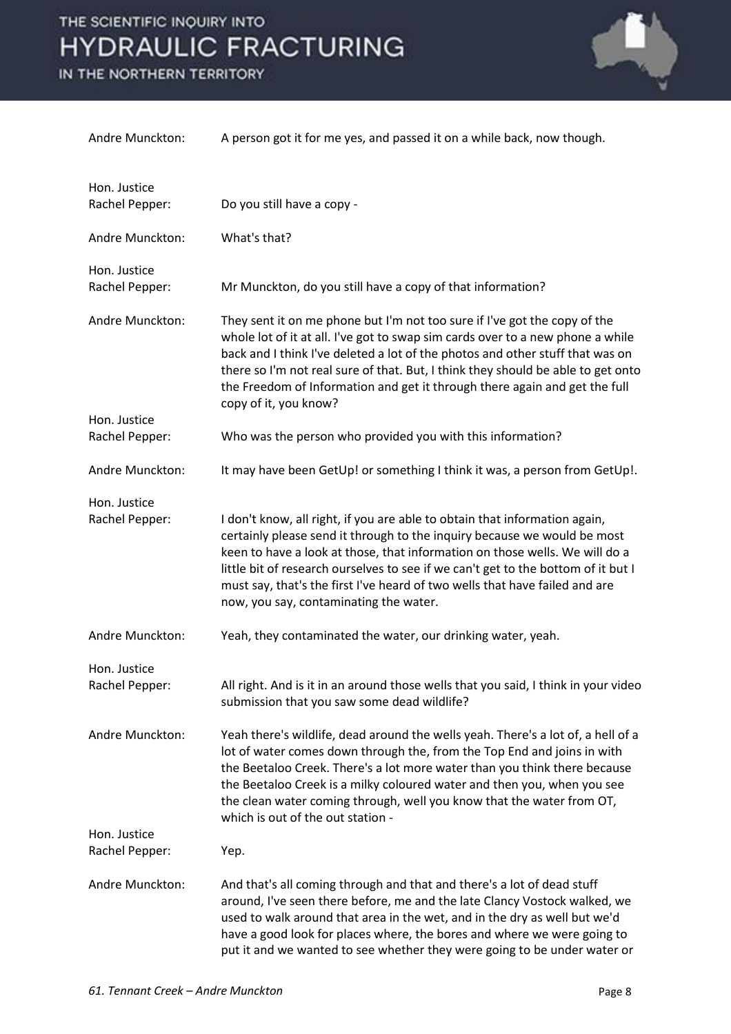

| Andre Munckton:                | A person got it for me yes, and passed it on a while back, now though.                                                                                                                                                                                                                                                                                                                                                                              |
|--------------------------------|-----------------------------------------------------------------------------------------------------------------------------------------------------------------------------------------------------------------------------------------------------------------------------------------------------------------------------------------------------------------------------------------------------------------------------------------------------|
| Hon. Justice                   |                                                                                                                                                                                                                                                                                                                                                                                                                                                     |
| Rachel Pepper:                 | Do you still have a copy -                                                                                                                                                                                                                                                                                                                                                                                                                          |
| Andre Munckton:                | What's that?                                                                                                                                                                                                                                                                                                                                                                                                                                        |
| Hon. Justice<br>Rachel Pepper: | Mr Munckton, do you still have a copy of that information?                                                                                                                                                                                                                                                                                                                                                                                          |
| Andre Munckton:                | They sent it on me phone but I'm not too sure if I've got the copy of the<br>whole lot of it at all. I've got to swap sim cards over to a new phone a while<br>back and I think I've deleted a lot of the photos and other stuff that was on<br>there so I'm not real sure of that. But, I think they should be able to get onto<br>the Freedom of Information and get it through there again and get the full<br>copy of it, you know?             |
| Hon. Justice                   |                                                                                                                                                                                                                                                                                                                                                                                                                                                     |
| Rachel Pepper:                 | Who was the person who provided you with this information?                                                                                                                                                                                                                                                                                                                                                                                          |
| Andre Munckton:                | It may have been GetUp! or something I think it was, a person from GetUp!.                                                                                                                                                                                                                                                                                                                                                                          |
| Hon. Justice                   |                                                                                                                                                                                                                                                                                                                                                                                                                                                     |
| Rachel Pepper:                 | I don't know, all right, if you are able to obtain that information again,<br>certainly please send it through to the inquiry because we would be most<br>keen to have a look at those, that information on those wells. We will do a<br>little bit of research ourselves to see if we can't get to the bottom of it but I<br>must say, that's the first I've heard of two wells that have failed and are<br>now, you say, contaminating the water. |
| Andre Munckton:                | Yeah, they contaminated the water, our drinking water, yeah.                                                                                                                                                                                                                                                                                                                                                                                        |
| Hon. Justice<br>Rachel Pepper: | All right. And is it in an around those wells that you said, I think in your video<br>submission that you saw some dead wildlife?                                                                                                                                                                                                                                                                                                                   |
| Andre Munckton:                | Yeah there's wildlife, dead around the wells yeah. There's a lot of, a hell of a<br>lot of water comes down through the, from the Top End and joins in with<br>the Beetaloo Creek. There's a lot more water than you think there because<br>the Beetaloo Creek is a milky coloured water and then you, when you see<br>the clean water coming through, well you know that the water from OT,<br>which is out of the out station -                   |
| Hon. Justice                   |                                                                                                                                                                                                                                                                                                                                                                                                                                                     |
| Rachel Pepper:                 | Yep.                                                                                                                                                                                                                                                                                                                                                                                                                                                |
| Andre Munckton:                | And that's all coming through and that and there's a lot of dead stuff<br>around, I've seen there before, me and the late Clancy Vostock walked, we<br>used to walk around that area in the wet, and in the dry as well but we'd<br>have a good look for places where, the bores and where we were going to<br>put it and we wanted to see whether they were going to be under water or                                                             |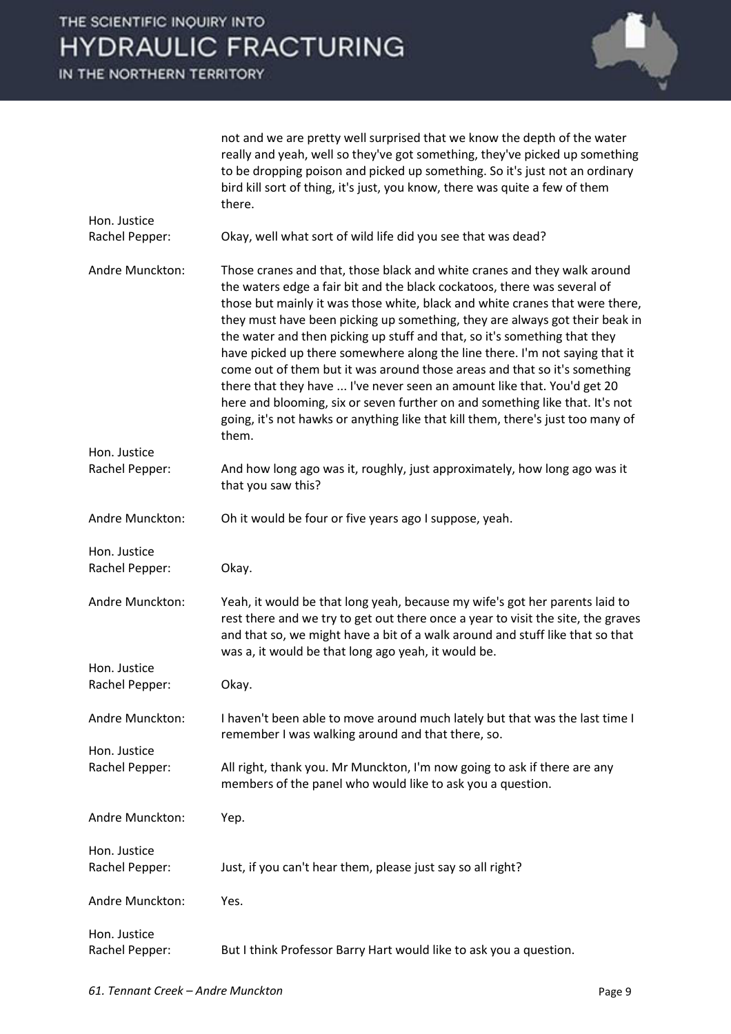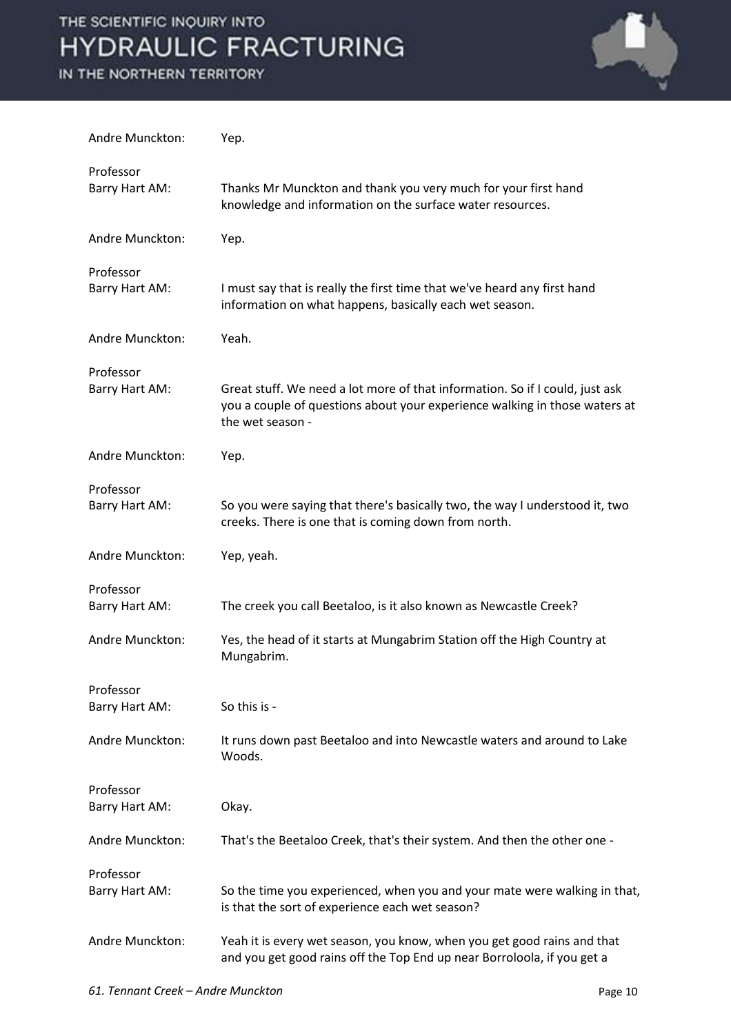

| Andre Munckton:             | Yep.                                                                                                                                                                           |
|-----------------------------|--------------------------------------------------------------------------------------------------------------------------------------------------------------------------------|
| Professor<br>Barry Hart AM: | Thanks Mr Munckton and thank you very much for your first hand<br>knowledge and information on the surface water resources.                                                    |
| Andre Munckton:             | Yep.                                                                                                                                                                           |
| Professor<br>Barry Hart AM: | I must say that is really the first time that we've heard any first hand<br>information on what happens, basically each wet season.                                            |
| Andre Munckton:             | Yeah.                                                                                                                                                                          |
| Professor<br>Barry Hart AM: | Great stuff. We need a lot more of that information. So if I could, just ask<br>you a couple of questions about your experience walking in those waters at<br>the wet season - |
| Andre Munckton:             | Yep.                                                                                                                                                                           |
| Professor<br>Barry Hart AM: | So you were saying that there's basically two, the way I understood it, two<br>creeks. There is one that is coming down from north.                                            |
| Andre Munckton:             | Yep, yeah.                                                                                                                                                                     |
| Professor<br>Barry Hart AM: | The creek you call Beetaloo, is it also known as Newcastle Creek?                                                                                                              |
| Andre Munckton:             | Yes, the head of it starts at Mungabrim Station off the High Country at<br>Mungabrim.                                                                                          |
| Professor<br>Barry Hart AM: | So this is -                                                                                                                                                                   |
| Andre Munckton:             | It runs down past Beetaloo and into Newcastle waters and around to Lake<br>Woods.                                                                                              |
| Professor<br>Barry Hart AM: | Okay.                                                                                                                                                                          |
| Andre Munckton:             | That's the Beetaloo Creek, that's their system. And then the other one -                                                                                                       |
| Professor<br>Barry Hart AM: | So the time you experienced, when you and your mate were walking in that,<br>is that the sort of experience each wet season?                                                   |
| Andre Munckton:             | Yeah it is every wet season, you know, when you get good rains and that<br>and you get good rains off the Top End up near Borroloola, if you get a                             |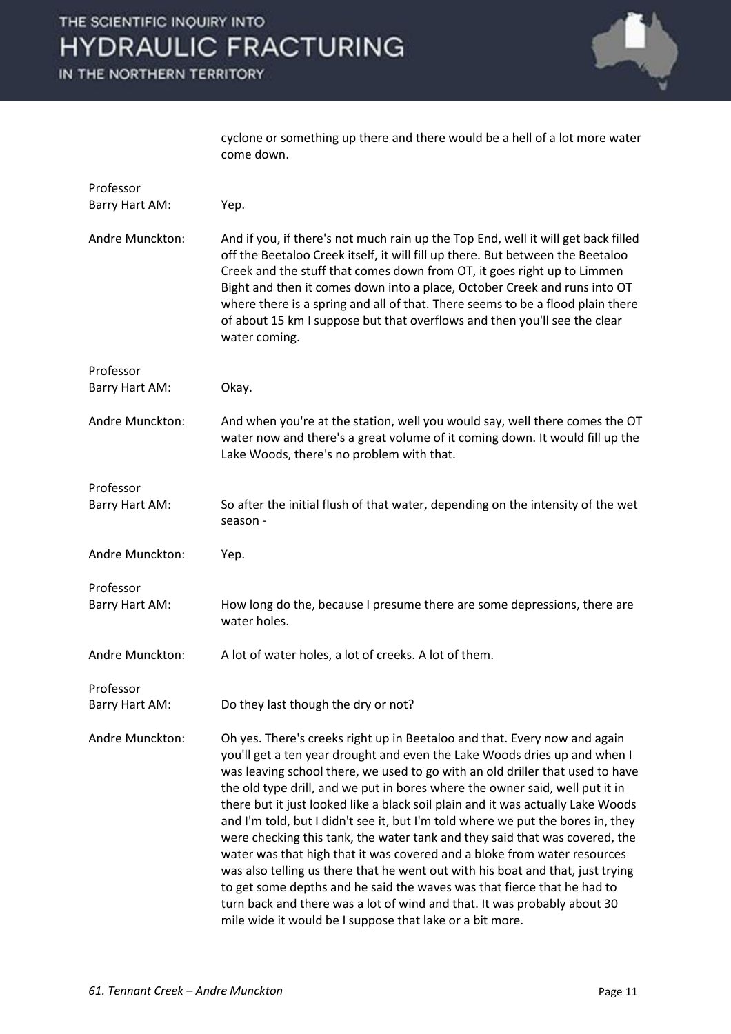IN THE NORTHERN TERRITORY



cyclone or something up there and there would be a hell of a lot more water come down.

| Professor<br>Barry Hart AM: | Yep.                                                                                                                                                                                                                                                                                                                                                                                                                                                                                                                                                                                                                                                                                                                                                                                                                                                                                                                                                          |
|-----------------------------|---------------------------------------------------------------------------------------------------------------------------------------------------------------------------------------------------------------------------------------------------------------------------------------------------------------------------------------------------------------------------------------------------------------------------------------------------------------------------------------------------------------------------------------------------------------------------------------------------------------------------------------------------------------------------------------------------------------------------------------------------------------------------------------------------------------------------------------------------------------------------------------------------------------------------------------------------------------|
| Andre Munckton:             | And if you, if there's not much rain up the Top End, well it will get back filled<br>off the Beetaloo Creek itself, it will fill up there. But between the Beetaloo<br>Creek and the stuff that comes down from OT, it goes right up to Limmen<br>Bight and then it comes down into a place, October Creek and runs into OT<br>where there is a spring and all of that. There seems to be a flood plain there<br>of about 15 km I suppose but that overflows and then you'll see the clear<br>water coming.                                                                                                                                                                                                                                                                                                                                                                                                                                                   |
| Professor<br>Barry Hart AM: | Okay.                                                                                                                                                                                                                                                                                                                                                                                                                                                                                                                                                                                                                                                                                                                                                                                                                                                                                                                                                         |
| Andre Munckton:             | And when you're at the station, well you would say, well there comes the OT<br>water now and there's a great volume of it coming down. It would fill up the<br>Lake Woods, there's no problem with that.                                                                                                                                                                                                                                                                                                                                                                                                                                                                                                                                                                                                                                                                                                                                                      |
| Professor<br>Barry Hart AM: | So after the initial flush of that water, depending on the intensity of the wet<br>season -                                                                                                                                                                                                                                                                                                                                                                                                                                                                                                                                                                                                                                                                                                                                                                                                                                                                   |
| Andre Munckton:             | Yep.                                                                                                                                                                                                                                                                                                                                                                                                                                                                                                                                                                                                                                                                                                                                                                                                                                                                                                                                                          |
| Professor<br>Barry Hart AM: | How long do the, because I presume there are some depressions, there are<br>water holes.                                                                                                                                                                                                                                                                                                                                                                                                                                                                                                                                                                                                                                                                                                                                                                                                                                                                      |
| Andre Munckton:             | A lot of water holes, a lot of creeks. A lot of them.                                                                                                                                                                                                                                                                                                                                                                                                                                                                                                                                                                                                                                                                                                                                                                                                                                                                                                         |
| Professor<br>Barry Hart AM: | Do they last though the dry or not?                                                                                                                                                                                                                                                                                                                                                                                                                                                                                                                                                                                                                                                                                                                                                                                                                                                                                                                           |
| Andre Munckton:             | Oh yes. There's creeks right up in Beetaloo and that. Every now and again<br>you'll get a ten year drought and even the Lake Woods dries up and when I<br>was leaving school there, we used to go with an old driller that used to have<br>the old type drill, and we put in bores where the owner said, well put it in<br>there but it just looked like a black soil plain and it was actually Lake Woods<br>and I'm told, but I didn't see it, but I'm told where we put the bores in, they<br>were checking this tank, the water tank and they said that was covered, the<br>water was that high that it was covered and a bloke from water resources<br>was also telling us there that he went out with his boat and that, just trying<br>to get some depths and he said the waves was that fierce that he had to<br>turn back and there was a lot of wind and that. It was probably about 30<br>mile wide it would be I suppose that lake or a bit more. |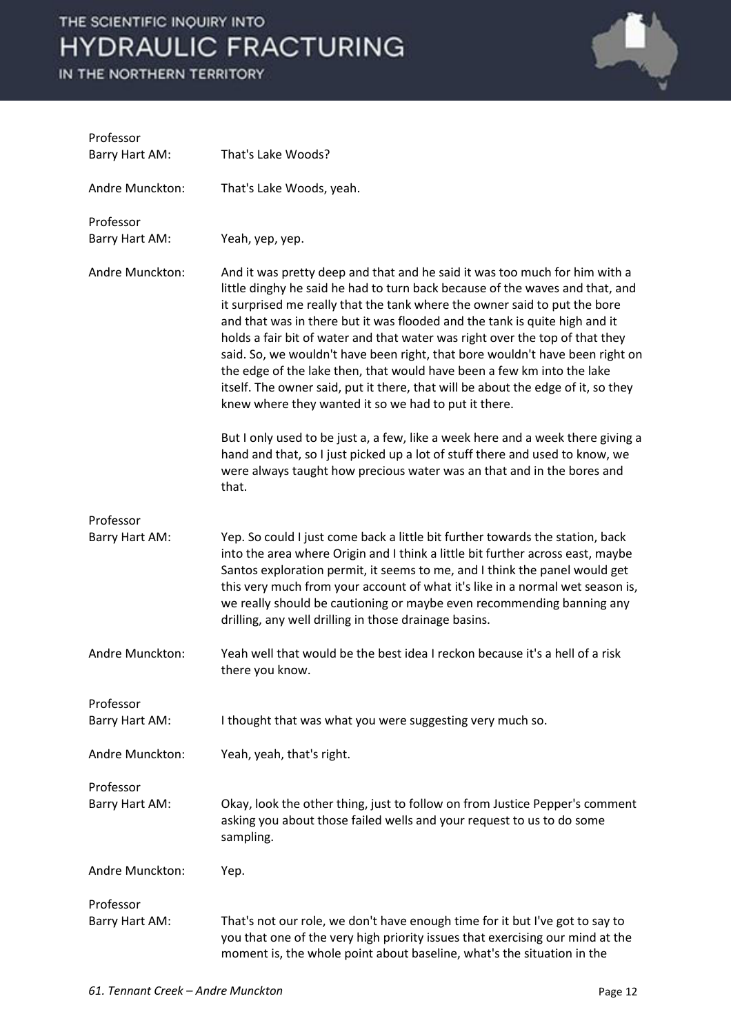

| Professor<br>Barry Hart AM: | That's Lake Woods?                                                                                                                                                                                                                                                                                                                                                                                                                                                                                                                                                                                                                                                                                          |
|-----------------------------|-------------------------------------------------------------------------------------------------------------------------------------------------------------------------------------------------------------------------------------------------------------------------------------------------------------------------------------------------------------------------------------------------------------------------------------------------------------------------------------------------------------------------------------------------------------------------------------------------------------------------------------------------------------------------------------------------------------|
| Andre Munckton:             | That's Lake Woods, yeah.                                                                                                                                                                                                                                                                                                                                                                                                                                                                                                                                                                                                                                                                                    |
|                             |                                                                                                                                                                                                                                                                                                                                                                                                                                                                                                                                                                                                                                                                                                             |
| Professor<br>Barry Hart AM: | Yeah, yep, yep.                                                                                                                                                                                                                                                                                                                                                                                                                                                                                                                                                                                                                                                                                             |
| Andre Munckton:             | And it was pretty deep and that and he said it was too much for him with a<br>little dinghy he said he had to turn back because of the waves and that, and<br>it surprised me really that the tank where the owner said to put the bore<br>and that was in there but it was flooded and the tank is quite high and it<br>holds a fair bit of water and that water was right over the top of that they<br>said. So, we wouldn't have been right, that bore wouldn't have been right on<br>the edge of the lake then, that would have been a few km into the lake<br>itself. The owner said, put it there, that will be about the edge of it, so they<br>knew where they wanted it so we had to put it there. |
|                             | But I only used to be just a, a few, like a week here and a week there giving a<br>hand and that, so I just picked up a lot of stuff there and used to know, we<br>were always taught how precious water was an that and in the bores and<br>that.                                                                                                                                                                                                                                                                                                                                                                                                                                                          |
| Professor                   |                                                                                                                                                                                                                                                                                                                                                                                                                                                                                                                                                                                                                                                                                                             |
| Barry Hart AM:              | Yep. So could I just come back a little bit further towards the station, back<br>into the area where Origin and I think a little bit further across east, maybe<br>Santos exploration permit, it seems to me, and I think the panel would get<br>this very much from your account of what it's like in a normal wet season is,<br>we really should be cautioning or maybe even recommending banning any<br>drilling, any well drilling in those drainage basins.                                                                                                                                                                                                                                            |
| Andre Munckton:             | Yeah well that would be the best idea I reckon because it's a hell of a risk<br>there you know.                                                                                                                                                                                                                                                                                                                                                                                                                                                                                                                                                                                                             |
| Professor                   |                                                                                                                                                                                                                                                                                                                                                                                                                                                                                                                                                                                                                                                                                                             |
| Barry Hart AM:              | I thought that was what you were suggesting very much so.                                                                                                                                                                                                                                                                                                                                                                                                                                                                                                                                                                                                                                                   |
| Andre Munckton:             | Yeah, yeah, that's right.                                                                                                                                                                                                                                                                                                                                                                                                                                                                                                                                                                                                                                                                                   |
| Professor                   |                                                                                                                                                                                                                                                                                                                                                                                                                                                                                                                                                                                                                                                                                                             |
| Barry Hart AM:              | Okay, look the other thing, just to follow on from Justice Pepper's comment<br>asking you about those failed wells and your request to us to do some<br>sampling.                                                                                                                                                                                                                                                                                                                                                                                                                                                                                                                                           |
| Andre Munckton:             | Yep.                                                                                                                                                                                                                                                                                                                                                                                                                                                                                                                                                                                                                                                                                                        |
| Professor                   |                                                                                                                                                                                                                                                                                                                                                                                                                                                                                                                                                                                                                                                                                                             |
| Barry Hart AM:              | That's not our role, we don't have enough time for it but I've got to say to<br>you that one of the very high priority issues that exercising our mind at the<br>moment is, the whole point about baseline, what's the situation in the                                                                                                                                                                                                                                                                                                                                                                                                                                                                     |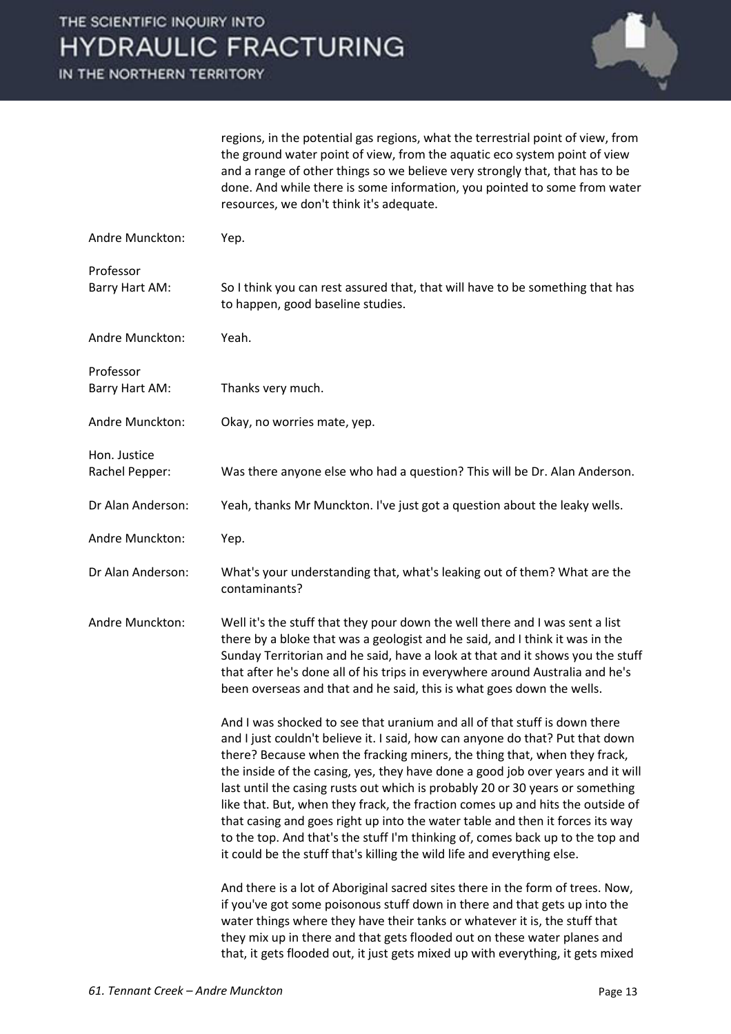IN THE NORTHERN TERRITORY



regions, in the potential gas regions, what the terrestrial point of view, from the ground water point of view, from the aquatic eco system point of view and a range of other things so we believe very strongly that, that has to be done. And while there is some information, you pointed to some from water resources, we don't think it's adequate.

| Andre Munckton:                | Yep.                                                                                                                                                                                                                                                                                                                                                                                                                                                                                                                                                                                                                                                                                                                                                                                                                                                                                                                                                                                                                                                                  |
|--------------------------------|-----------------------------------------------------------------------------------------------------------------------------------------------------------------------------------------------------------------------------------------------------------------------------------------------------------------------------------------------------------------------------------------------------------------------------------------------------------------------------------------------------------------------------------------------------------------------------------------------------------------------------------------------------------------------------------------------------------------------------------------------------------------------------------------------------------------------------------------------------------------------------------------------------------------------------------------------------------------------------------------------------------------------------------------------------------------------|
| Professor<br>Barry Hart AM:    | So I think you can rest assured that, that will have to be something that has<br>to happen, good baseline studies.                                                                                                                                                                                                                                                                                                                                                                                                                                                                                                                                                                                                                                                                                                                                                                                                                                                                                                                                                    |
| Andre Munckton:                | Yeah.                                                                                                                                                                                                                                                                                                                                                                                                                                                                                                                                                                                                                                                                                                                                                                                                                                                                                                                                                                                                                                                                 |
| Professor<br>Barry Hart AM:    | Thanks very much.                                                                                                                                                                                                                                                                                                                                                                                                                                                                                                                                                                                                                                                                                                                                                                                                                                                                                                                                                                                                                                                     |
| Andre Munckton:                | Okay, no worries mate, yep.                                                                                                                                                                                                                                                                                                                                                                                                                                                                                                                                                                                                                                                                                                                                                                                                                                                                                                                                                                                                                                           |
| Hon. Justice<br>Rachel Pepper: | Was there anyone else who had a question? This will be Dr. Alan Anderson.                                                                                                                                                                                                                                                                                                                                                                                                                                                                                                                                                                                                                                                                                                                                                                                                                                                                                                                                                                                             |
| Dr Alan Anderson:              | Yeah, thanks Mr Munckton. I've just got a question about the leaky wells.                                                                                                                                                                                                                                                                                                                                                                                                                                                                                                                                                                                                                                                                                                                                                                                                                                                                                                                                                                                             |
| Andre Munckton:                | Yep.                                                                                                                                                                                                                                                                                                                                                                                                                                                                                                                                                                                                                                                                                                                                                                                                                                                                                                                                                                                                                                                                  |
| Dr Alan Anderson:              | What's your understanding that, what's leaking out of them? What are the<br>contaminants?                                                                                                                                                                                                                                                                                                                                                                                                                                                                                                                                                                                                                                                                                                                                                                                                                                                                                                                                                                             |
| Andre Munckton:                | Well it's the stuff that they pour down the well there and I was sent a list<br>there by a bloke that was a geologist and he said, and I think it was in the<br>Sunday Territorian and he said, have a look at that and it shows you the stuff<br>that after he's done all of his trips in everywhere around Australia and he's<br>been overseas and that and he said, this is what goes down the wells.                                                                                                                                                                                                                                                                                                                                                                                                                                                                                                                                                                                                                                                              |
|                                | And I was shocked to see that uranium and all of that stuff is down there<br>and I just couldn't believe it. I said, how can anyone do that? Put that down<br>there? Because when the fracking miners, the thing that, when they frack,<br>the inside of the casing, yes, they have done a good job over years and it will<br>last until the casing rusts out which is probably 20 or 30 years or something<br>like that. But, when they frack, the fraction comes up and hits the outside of<br>that casing and goes right up into the water table and then it forces its way<br>to the top. And that's the stuff I'm thinking of, comes back up to the top and<br>it could be the stuff that's killing the wild life and everything else.<br>And there is a lot of Aboriginal sacred sites there in the form of trees. Now,<br>if you've got some poisonous stuff down in there and that gets up into the<br>water things where they have their tanks or whatever it is, the stuff that<br>they mix up in there and that gets flooded out on these water planes and |
|                                | that, it gets flooded out, it just gets mixed up with everything, it gets mixed                                                                                                                                                                                                                                                                                                                                                                                                                                                                                                                                                                                                                                                                                                                                                                                                                                                                                                                                                                                       |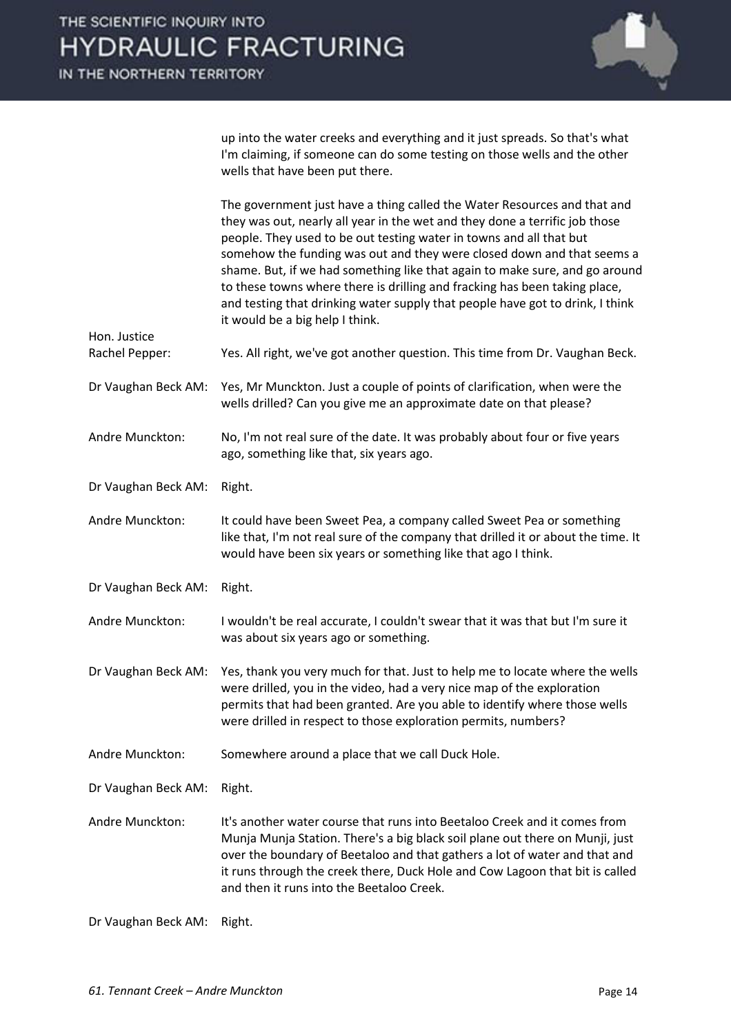

up into the water creeks and everything and it just spreads. So that's what I'm claiming, if someone can do some testing on those wells and the other wells that have been put there.

The government just have a thing called the Water Resources and that and they was out, nearly all year in the wet and they done a terrific job those people. They used to be out testing water in towns and all that but somehow the funding was out and they were closed down and that seems a shame. But, if we had something like that again to make sure, and go around to these towns where there is drilling and fracking has been taking place, and testing that drinking water supply that people have got to drink, I think it would be a big help I think.

Rachel Pepper: Yes. All right, we've got another question. This time from Dr. Vaughan Beck.

- Dr Vaughan Beck AM: Yes, Mr Munckton. Just a couple of points of clarification, when were the wells drilled? Can you give me an approximate date on that please?
- Andre Munckton: No, I'm not real sure of the date. It was probably about four or five years ago, something like that, six years ago.
- Dr Vaughan Beck AM: Right.

Hon. Justice

Andre Munckton: It could have been Sweet Pea, a company called Sweet Pea or something like that, I'm not real sure of the company that drilled it or about the time. It would have been six years or something like that ago I think.

- Dr Vaughan Beck AM: Right.
- Andre Munckton: I wouldn't be real accurate, I couldn't swear that it was that but I'm sure it was about six years ago or something.

Dr Vaughan Beck AM: Yes, thank you very much for that. Just to help me to locate where the wells were drilled, you in the video, had a very nice map of the exploration permits that had been granted. Are you able to identify where those wells were drilled in respect to those exploration permits, numbers?

Andre Munckton: Somewhere around a place that we call Duck Hole.

Dr Vaughan Beck AM: Right.

Andre Munckton: It's another water course that runs into Beetaloo Creek and it comes from Munja Munja Station. There's a big black soil plane out there on Munji, just over the boundary of Beetaloo and that gathers a lot of water and that and it runs through the creek there, Duck Hole and Cow Lagoon that bit is called and then it runs into the Beetaloo Creek.

Dr Vaughan Beck AM: Right.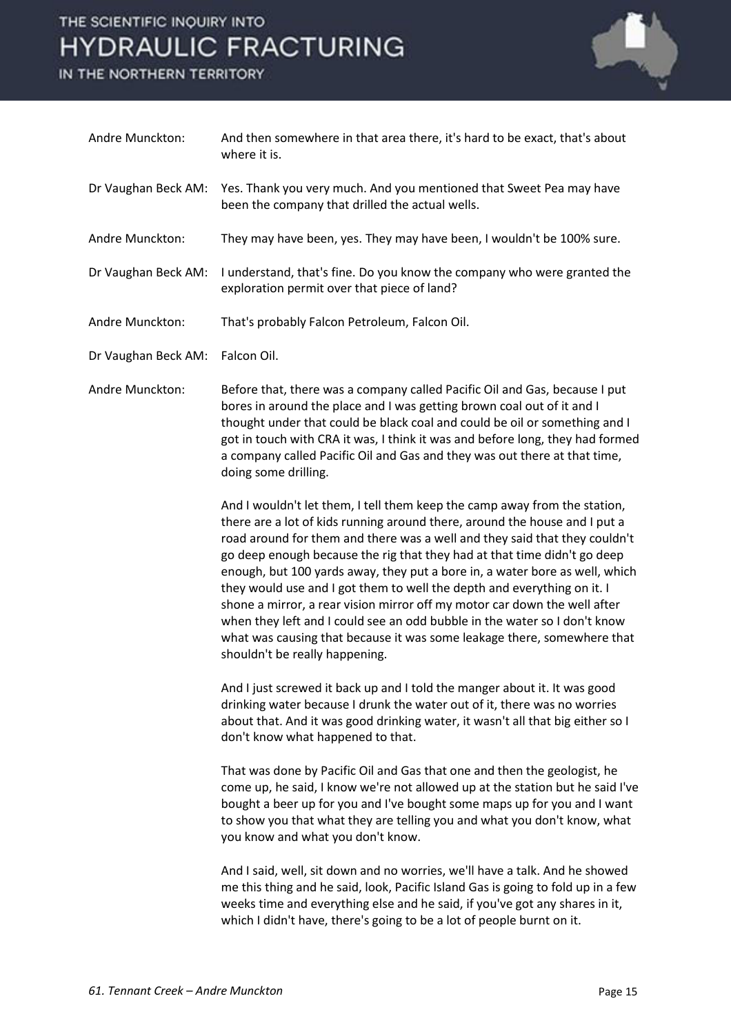

| Andre Munckton:     | And then somewhere in that area there, it's hard to be exact, that's about<br>where it is.                                                                                                                                                                                                                                                                                                                                                                                                                                                                                                                                                                                                                                                         |
|---------------------|----------------------------------------------------------------------------------------------------------------------------------------------------------------------------------------------------------------------------------------------------------------------------------------------------------------------------------------------------------------------------------------------------------------------------------------------------------------------------------------------------------------------------------------------------------------------------------------------------------------------------------------------------------------------------------------------------------------------------------------------------|
| Dr Vaughan Beck AM: | Yes. Thank you very much. And you mentioned that Sweet Pea may have<br>been the company that drilled the actual wells.                                                                                                                                                                                                                                                                                                                                                                                                                                                                                                                                                                                                                             |
| Andre Munckton:     | They may have been, yes. They may have been, I wouldn't be 100% sure.                                                                                                                                                                                                                                                                                                                                                                                                                                                                                                                                                                                                                                                                              |
| Dr Vaughan Beck AM: | I understand, that's fine. Do you know the company who were granted the<br>exploration permit over that piece of land?                                                                                                                                                                                                                                                                                                                                                                                                                                                                                                                                                                                                                             |
| Andre Munckton:     | That's probably Falcon Petroleum, Falcon Oil.                                                                                                                                                                                                                                                                                                                                                                                                                                                                                                                                                                                                                                                                                                      |
| Dr Vaughan Beck AM: | Falcon Oil.                                                                                                                                                                                                                                                                                                                                                                                                                                                                                                                                                                                                                                                                                                                                        |
| Andre Munckton:     | Before that, there was a company called Pacific Oil and Gas, because I put<br>bores in around the place and I was getting brown coal out of it and I<br>thought under that could be black coal and could be oil or something and I<br>got in touch with CRA it was, I think it was and before long, they had formed<br>a company called Pacific Oil and Gas and they was out there at that time,<br>doing some drilling.                                                                                                                                                                                                                                                                                                                           |
|                     | And I wouldn't let them, I tell them keep the camp away from the station,<br>there are a lot of kids running around there, around the house and I put a<br>road around for them and there was a well and they said that they couldn't<br>go deep enough because the rig that they had at that time didn't go deep<br>enough, but 100 yards away, they put a bore in, a water bore as well, which<br>they would use and I got them to well the depth and everything on it. I<br>shone a mirror, a rear vision mirror off my motor car down the well after<br>when they left and I could see an odd bubble in the water so I don't know<br>what was causing that because it was some leakage there, somewhere that<br>shouldn't be really happening. |
|                     | And I just screwed it back up and I told the manger about it. It was good<br>drinking water because I drunk the water out of it, there was no worries<br>about that. And it was good drinking water, it wasn't all that big either so I<br>don't know what happened to that.                                                                                                                                                                                                                                                                                                                                                                                                                                                                       |
|                     | That was done by Pacific Oil and Gas that one and then the geologist, he<br>come up, he said, I know we're not allowed up at the station but he said I've<br>bought a beer up for you and I've bought some maps up for you and I want<br>to show you that what they are telling you and what you don't know, what<br>you know and what you don't know.                                                                                                                                                                                                                                                                                                                                                                                             |
|                     | And I said, well, sit down and no worries, we'll have a talk. And he showed<br>me this thing and he said, look, Pacific Island Gas is going to fold up in a few<br>weeks time and everything else and he said, if you've got any shares in it,<br>which I didn't have, there's going to be a lot of people burnt on it.                                                                                                                                                                                                                                                                                                                                                                                                                            |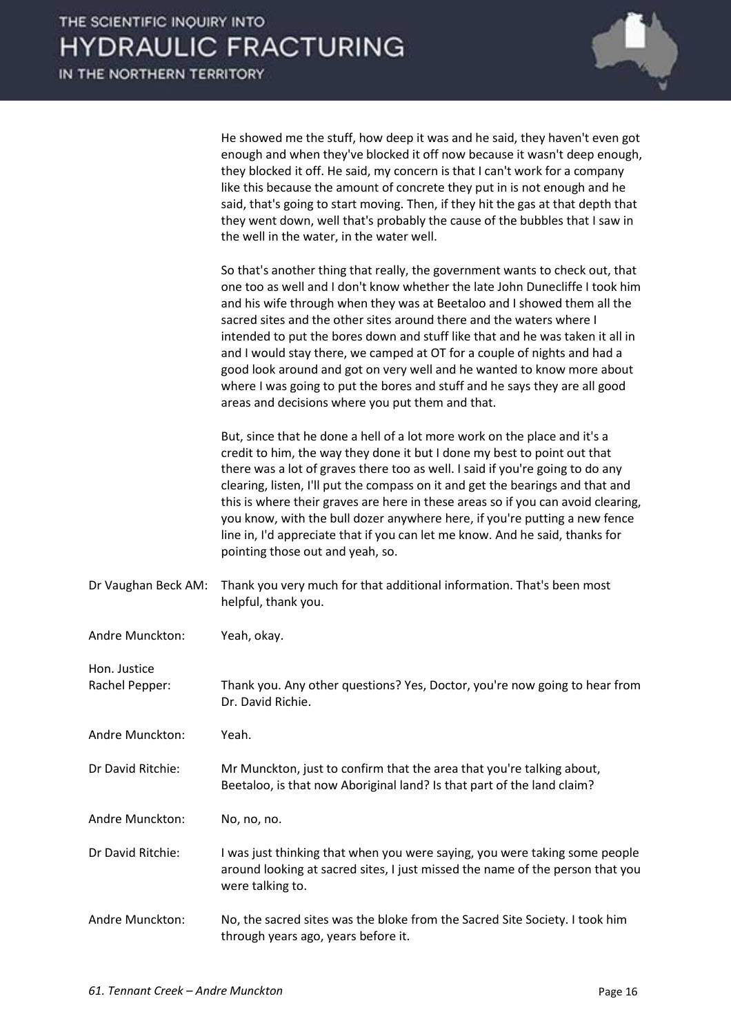

| He showed me the stuff, how deep it was and he said, they haven't even got       |
|----------------------------------------------------------------------------------|
| enough and when they've blocked it off now because it wasn't deep enough,        |
| they blocked it off. He said, my concern is that I can't work for a company      |
| like this because the amount of concrete they put in is not enough and he        |
| said, that's going to start moving. Then, if they hit the gas at that depth that |
| they went down, well that's probably the cause of the bubbles that I saw in      |
| the well in the water, in the water well.                                        |

 So that's another thing that really, the government wants to check out, that one too as well and I don't know whether the late John Dunecliffe I took him and his wife through when they was at Beetaloo and I showed them all the sacred sites and the other sites around there and the waters where I intended to put the bores down and stuff like that and he was taken it all in and I would stay there, we camped at OT for a couple of nights and had a good look around and got on very well and he wanted to know more about where I was going to put the bores and stuff and he says they are all good areas and decisions where you put them and that.

 But, since that he done a hell of a lot more work on the place and it's a credit to him, the way they done it but I done my best to point out that there was a lot of graves there too as well. I said if you're going to do any clearing, listen, I'll put the compass on it and get the bearings and that and this is where their graves are here in these areas so if you can avoid clearing, you know, with the bull dozer anywhere here, if you're putting a new fence line in, I'd appreciate that if you can let me know. And he said, thanks for pointing those out and yeah, so.

- Dr Vaughan Beck AM: Thank you very much for that additional information. That's been most helpful, thank you.
- Andre Munckton: Yeah, okay.

Rachel Pepper: Thank you. Any other questions? Yes, Doctor, you're now going to hear from Dr. David Richie.

Andre Munckton: Yeah.

Hon. Justice

Dr David Ritchie: Mr Munckton, just to confirm that the area that you're talking about, Beetaloo, is that now Aboriginal land? Is that part of the land claim?

Andre Munckton: No, no, no.

- Dr David Ritchie: I was just thinking that when you were saying, you were taking some people around looking at sacred sites, I just missed the name of the person that you were talking to.
- Andre Munckton: No, the sacred sites was the bloke from the Sacred Site Society. I took him through years ago, years before it.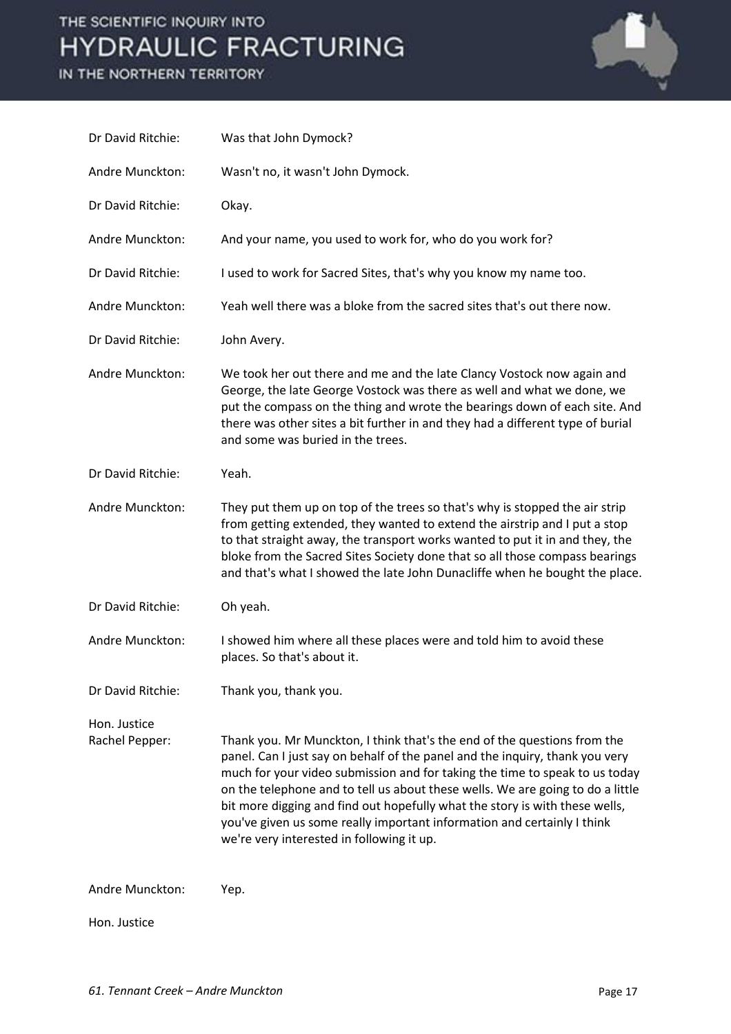

| Dr David Ritchie:              | Was that John Dymock?                                                                                                                                                                                                                                                                                                                                                                                                                                                                                                            |
|--------------------------------|----------------------------------------------------------------------------------------------------------------------------------------------------------------------------------------------------------------------------------------------------------------------------------------------------------------------------------------------------------------------------------------------------------------------------------------------------------------------------------------------------------------------------------|
| Andre Munckton:                | Wasn't no, it wasn't John Dymock.                                                                                                                                                                                                                                                                                                                                                                                                                                                                                                |
| Dr David Ritchie:              | Okay.                                                                                                                                                                                                                                                                                                                                                                                                                                                                                                                            |
| Andre Munckton:                | And your name, you used to work for, who do you work for?                                                                                                                                                                                                                                                                                                                                                                                                                                                                        |
| Dr David Ritchie:              | I used to work for Sacred Sites, that's why you know my name too.                                                                                                                                                                                                                                                                                                                                                                                                                                                                |
| Andre Munckton:                | Yeah well there was a bloke from the sacred sites that's out there now.                                                                                                                                                                                                                                                                                                                                                                                                                                                          |
| Dr David Ritchie:              | John Avery.                                                                                                                                                                                                                                                                                                                                                                                                                                                                                                                      |
| Andre Munckton:                | We took her out there and me and the late Clancy Vostock now again and<br>George, the late George Vostock was there as well and what we done, we<br>put the compass on the thing and wrote the bearings down of each site. And<br>there was other sites a bit further in and they had a different type of burial<br>and some was buried in the trees.                                                                                                                                                                            |
| Dr David Ritchie:              | Yeah.                                                                                                                                                                                                                                                                                                                                                                                                                                                                                                                            |
| Andre Munckton:                | They put them up on top of the trees so that's why is stopped the air strip<br>from getting extended, they wanted to extend the airstrip and I put a stop<br>to that straight away, the transport works wanted to put it in and they, the<br>bloke from the Sacred Sites Society done that so all those compass bearings<br>and that's what I showed the late John Dunacliffe when he bought the place.                                                                                                                          |
| Dr David Ritchie:              | Oh yeah.                                                                                                                                                                                                                                                                                                                                                                                                                                                                                                                         |
| Andre Munckton:                | I showed him where all these places were and told him to avoid these<br>places. So that's about it.                                                                                                                                                                                                                                                                                                                                                                                                                              |
| Dr David Ritchie:              | Thank you, thank you.                                                                                                                                                                                                                                                                                                                                                                                                                                                                                                            |
| Hon. Justice<br>Rachel Pepper: | Thank you. Mr Munckton, I think that's the end of the questions from the<br>panel. Can I just say on behalf of the panel and the inquiry, thank you very<br>much for your video submission and for taking the time to speak to us today<br>on the telephone and to tell us about these wells. We are going to do a little<br>bit more digging and find out hopefully what the story is with these wells,<br>you've given us some really important information and certainly I think<br>we're very interested in following it up. |
| Andre Munckton:                | Yep.                                                                                                                                                                                                                                                                                                                                                                                                                                                                                                                             |
| Hon. Justice                   |                                                                                                                                                                                                                                                                                                                                                                                                                                                                                                                                  |